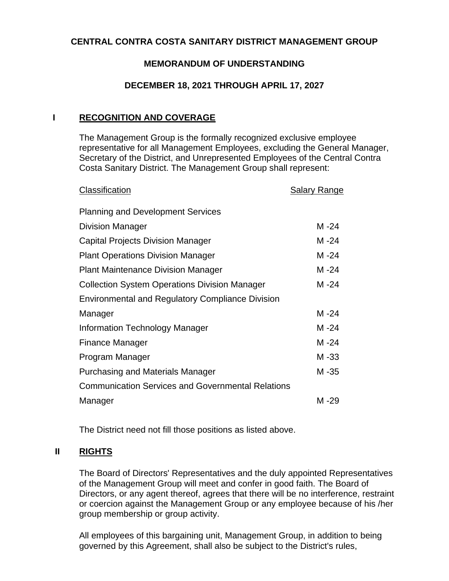# **CENTRAL CONTRA COSTA SANITARY DISTRICT MANAGEMENT GROUP**

# **MEMORANDUM OF UNDERSTANDING**

#### **DECEMBER 18, 2021 THROUGH APRIL 17, 2027**

#### **I RECOGNITION AND COVERAGE**

The Management Group is the formally recognized exclusive employee representative for all Management Employees, excluding the General Manager, Secretary of the District, and Unrepresented Employees of the Central Contra Costa Sanitary District. The Management Group shall represent:

| <b>Planning and Development Services</b><br><b>Division Manager</b><br><b>Capital Projects Division Manager</b><br><b>Plant Operations Division Manager</b><br><b>Plant Maintenance Division Manager</b><br><b>Collection System Operations Division Manager</b><br><b>Environmental and Regulatory Compliance Division</b><br>Manager | M-24<br>M -24 |
|----------------------------------------------------------------------------------------------------------------------------------------------------------------------------------------------------------------------------------------------------------------------------------------------------------------------------------------|---------------|
|                                                                                                                                                                                                                                                                                                                                        |               |
|                                                                                                                                                                                                                                                                                                                                        |               |
|                                                                                                                                                                                                                                                                                                                                        |               |
|                                                                                                                                                                                                                                                                                                                                        | M -24         |
|                                                                                                                                                                                                                                                                                                                                        | M -24         |
|                                                                                                                                                                                                                                                                                                                                        | M -24         |
|                                                                                                                                                                                                                                                                                                                                        |               |
|                                                                                                                                                                                                                                                                                                                                        | M-24          |
| Information Technology Manager                                                                                                                                                                                                                                                                                                         | $M - 24$      |
| <b>Finance Manager</b>                                                                                                                                                                                                                                                                                                                 | M -24         |
| Program Manager                                                                                                                                                                                                                                                                                                                        | M-33          |
| <b>Purchasing and Materials Manager</b>                                                                                                                                                                                                                                                                                                | M-35          |
| <b>Communication Services and Governmental Relations</b>                                                                                                                                                                                                                                                                               |               |
| Manager                                                                                                                                                                                                                                                                                                                                | M -29         |

The District need not fill those positions as listed above.

## **II RIGHTS**

The Board of Directors' Representatives and the duly appointed Representatives of the Management Group will meet and confer in good faith. The Board of Directors, or any agent thereof, agrees that there will be no interference, restraint or coercion against the Management Group or any employee because of his /her group membership or group activity.

All employees of this bargaining unit, Management Group, in addition to being governed by this Agreement, shall also be subject to the District's rules,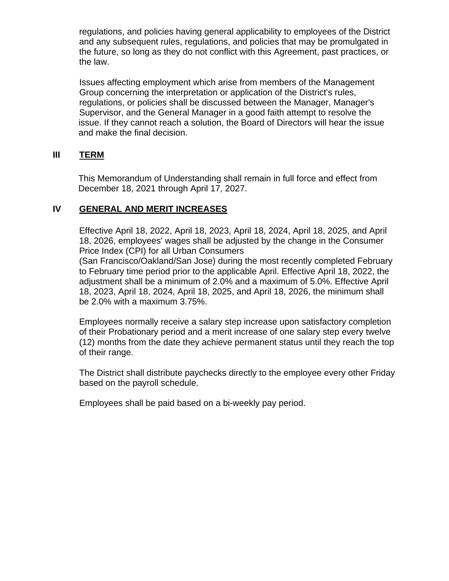regulations, and policies having general applicability to employees of the District and any subsequent rules, regulations, and policies that may be promulgated in the future, so long as they do not conflict with this Agreement, past practices, or the law.

Issues affecting employment which arise from members of the Management Group concerning the interpretation or application of the District's rules, regulations, or policies shall be discussed between the Manager, Manager's Supervisor, and the General Manager in a good faith attempt to resolve the issue. If they cannot reach a solution, the Board of Directors will hear the issue and make the final decision.

# **III TERM**

This Memorandum of Understanding shall remain in full force and effect from December 18, 2021 through April 17, 2027.

# **IV GENERAL AND MERIT INCREASES**

Effective April 18, 2022, April 18, 2023, April 18, 2024, April 18, 2025, and April 18, 2026, employees' wages shall be adjusted by the change in the Consumer Price Index (CPI) for all Urban Consumers

(San Francisco/Oakland/San Jose) during the most recently completed February to February time period prior to the applicable April. Effective April 18, 2022, the adjustment shall be a minimum of 2.0% and a maximum of 5.0%. Effective April 18, 2023, April 18, 2024, April 18, 2025, and April 18, 2026, the minimum shall be 2.0% with a maximum 3.75%.

Employees normally receive a salary step increase upon satisfactory completion of their Probationary period and a merit increase of one salary step every twelve (12) months from the date they achieve permanent status until they reach the top of their range.

The District shall distribute paychecks directly to the employee every other Friday based on the payroll schedule.

Employees shall be paid based on a bi-weekly pay period.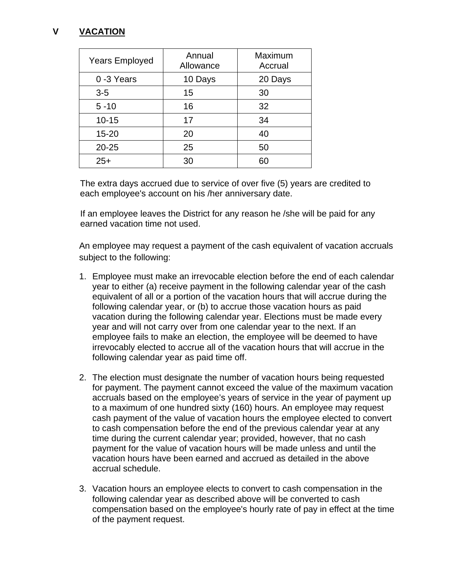# **V VACATION**

| <b>Years Employed</b> | Annual<br>Allowance | Maximum<br>Accrual |
|-----------------------|---------------------|--------------------|
| 0-3 Years             | 10 Days             | 20 Days            |
| $3-5$                 | 15                  | 30                 |
| $5 - 10$              | 16                  | 32                 |
| $10 - 15$             | 17                  | 34                 |
| $15 - 20$             | 20                  | 40                 |
| $20 - 25$             | 25                  | 50                 |
| $25+$                 | 30                  | 60                 |

The extra days accrued due to service of over five (5) years are credited to each employee's account on his /her anniversary date.

If an employee leaves the District for any reason he /she will be paid for any earned vacation time not used.

An employee may request a payment of the cash equivalent of vacation accruals subject to the following:

- 1. Employee must make an irrevocable election before the end of each calendar year to either (a) receive payment in the following calendar year of the cash equivalent of all or a portion of the vacation hours that will accrue during the following calendar year, or (b) to accrue those vacation hours as paid vacation during the following calendar year. Elections must be made every year and will not carry over from one calendar year to the next. If an employee fails to make an election, the employee will be deemed to have irrevocably elected to accrue all of the vacation hours that will accrue in the following calendar year as paid time off.
- 2. The election must designate the number of vacation hours being requested for payment. The payment cannot exceed the value of the maximum vacation accruals based on the employee's years of service in the year of payment up to a maximum of one hundred sixty (160) hours. An employee may request cash payment of the value of vacation hours the employee elected to convert to cash compensation before the end of the previous calendar year at any time during the current calendar year; provided, however, that no cash payment for the value of vacation hours will be made unless and until the vacation hours have been earned and accrued as detailed in the above accrual schedule.
- 3. Vacation hours an employee elects to convert to cash compensation in the following calendar year as described above will be converted to cash compensation based on the employee's hourly rate of pay in effect at the time of the payment request.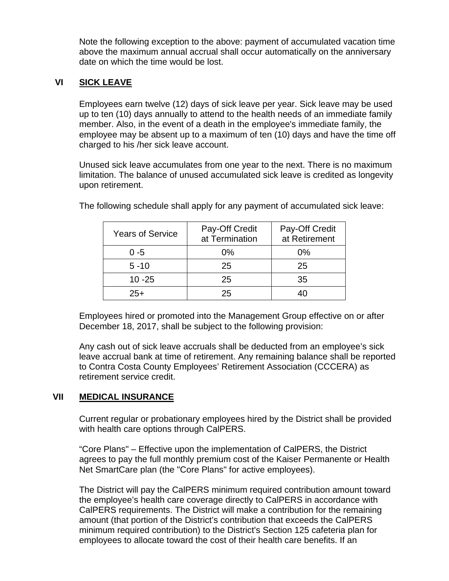Note the following exception to the above: payment of accumulated vacation time above the maximum annual accrual shall occur automatically on the anniversary date on which the time would be lost.

## **VI SICK LEAVE**

Employees earn twelve (12) days of sick leave per year. Sick leave may be used up to ten (10) days annually to attend to the health needs of an immediate family member. Also, in the event of a death in the employee's immediate family, the employee may be absent up to a maximum of ten (10) days and have the time off charged to his /her sick leave account.

Unused sick leave accumulates from one year to the next. There is no maximum limitation. The balance of unused accumulated sick leave is credited as longevity upon retirement.

| <b>Years of Service</b> | Pay-Off Credit<br>at Termination | Pay-Off Credit<br>at Retirement |
|-------------------------|----------------------------------|---------------------------------|
| $0 - 5$                 | 0%                               | $0\%$                           |
| $5 - 10$                | 25                               | 25                              |
| $10 - 25$               | 25                               | 35                              |
| $25+$                   | 25                               |                                 |

The following schedule shall apply for any payment of accumulated sick leave:

Employees hired or promoted into the Management Group effective on or after December 18, 2017, shall be subject to the following provision:

Any cash out of sick leave accruals shall be deducted from an employee's sick leave accrual bank at time of retirement. Any remaining balance shall be reported to Contra Costa County Employees' Retirement Association (CCCERA) as retirement service credit.

# **VII MEDICAL INSURANCE**

Current regular or probationary employees hired by the District shall be provided with health care options through CalPERS.

"Core Plans" – Effective upon the implementation of CalPERS, the District agrees to pay the full monthly premium cost of the Kaiser Permanente or Health Net SmartCare plan (the "Core Plans" for active employees).

The District will pay the CalPERS minimum required contribution amount toward the employee's health care coverage directly to CalPERS in accordance with CalPERS requirements. The District will make a contribution for the remaining amount (that portion of the District's contribution that exceeds the CalPERS minimum required contribution) to the District's Section 125 cafeteria plan for employees to allocate toward the cost of their health care benefits. If an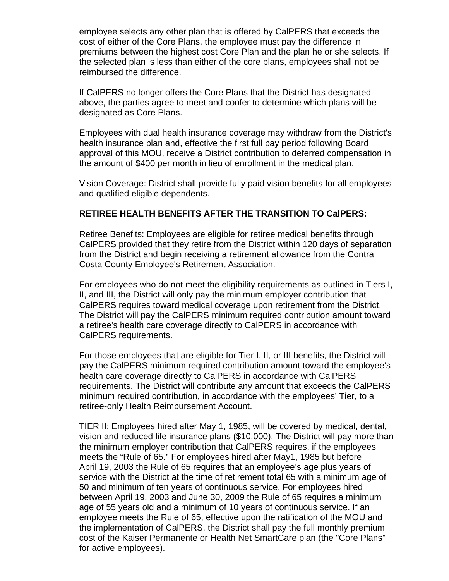employee selects any other plan that is offered by CalPERS that exceeds the cost of either of the Core Plans, the employee must pay the difference in premiums between the highest cost Core Plan and the plan he or she selects. If the selected plan is less than either of the core plans, employees shall not be reimbursed the difference.

If CalPERS no longer offers the Core Plans that the District has designated above, the parties agree to meet and confer to determine which plans will be designated as Core Plans.

Employees with dual health insurance coverage may withdraw from the District's health insurance plan and, effective the first full pay period following Board approval of this MOU, receive a District contribution to deferred compensation in the amount of \$400 per month in lieu of enrollment in the medical plan.

Vision Coverage: District shall provide fully paid vision benefits for all employees and qualified eligible dependents.

#### **RETIREE HEALTH BENEFITS AFTER THE TRANSITION TO CalPERS:**

Retiree Benefits: Employees are eligible for retiree medical benefits through CalPERS provided that they retire from the District within 120 days of separation from the District and begin receiving a retirement allowance from the Contra Costa County Employee's Retirement Association.

For employees who do not meet the eligibility requirements as outlined in Tiers I, II, and III, the District will only pay the minimum employer contribution that CalPERS requires toward medical coverage upon retirement from the District. The District will pay the CalPERS minimum required contribution amount toward a retiree's health care coverage directly to CalPERS in accordance with CalPERS requirements.

For those employees that are eligible for Tier I, II, or III benefits, the District will pay the CalPERS minimum required contribution amount toward the employee's health care coverage directly to CalPERS in accordance with CalPERS requirements. The District will contribute any amount that exceeds the CalPERS minimum required contribution, in accordance with the employees' Tier, to a retiree-only Health Reimbursement Account.

TIER II: Employees hired after May 1, 1985, will be covered by medical, dental, vision and reduced life insurance plans (\$10,000). The District will pay more than the minimum employer contribution that CalPERS requires, if the employees meets the "Rule of 65." For employees hired after May1, 1985 but before April 19, 2003 the Rule of 65 requires that an employee's age plus years of service with the District at the time of retirement total 65 with a minimum age of 50 and minimum of ten years of continuous service. For employees hired between April 19, 2003 and June 30, 2009 the Rule of 65 requires a minimum age of 55 years old and a minimum of 10 years of continuous service. If an employee meets the Rule of 65, effective upon the ratification of the MOU and the implementation of CalPERS, the District shall pay the full monthly premium cost of the Kaiser Permanente or Health Net SmartCare plan (the "Core Plans" for active employees).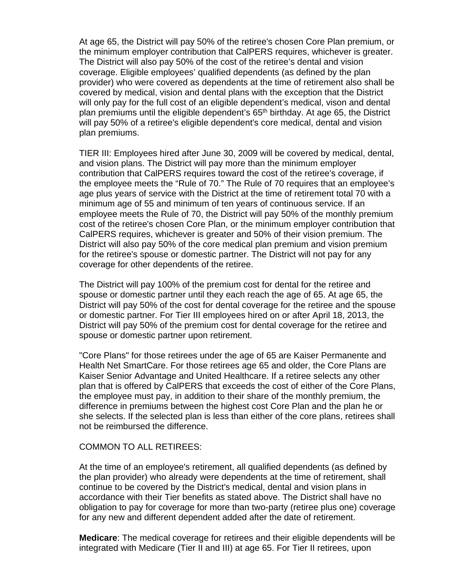At age 65, the District will pay 50% of the retiree's chosen Core Plan premium, or the minimum employer contribution that CalPERS requires, whichever is greater. The District will also pay 50% of the cost of the retiree's dental and vision coverage. Eligible employees' qualified dependents (as defined by the plan provider) who were covered as dependents at the time of retirement also shall be covered by medical, vision and dental plans with the exception that the District will only pay for the full cost of an eligible dependent's medical, vison and dental plan premiums until the eligible dependent's 65th birthday. At age 65, the District will pay 50% of a retiree's eligible dependent's core medical, dental and vision plan premiums.

TIER III: Employees hired after June 30, 2009 will be covered by medical, dental, and vision plans. The District will pay more than the minimum employer contribution that CalPERS requires toward the cost of the retiree's coverage, if the employee meets the "Rule of 70." The Rule of 70 requires that an employee's age plus years of service with the District at the time of retirement total 70 with a minimum age of 55 and minimum of ten years of continuous service. If an employee meets the Rule of 70, the District will pay 50% of the monthly premium cost of the retiree's chosen Core Plan, or the minimum employer contribution that CalPERS requires, whichever is greater and 50% of their vision premium. The District will also pay 50% of the core medical plan premium and vision premium for the retiree's spouse or domestic partner. The District will not pay for any coverage for other dependents of the retiree.

The District will pay 100% of the premium cost for dental for the retiree and spouse or domestic partner until they each reach the age of 65. At age 65, the District will pay 50% of the cost for dental coverage for the retiree and the spouse or domestic partner. For Tier III employees hired on or after April 18, 2013, the District will pay 50% of the premium cost for dental coverage for the retiree and spouse or domestic partner upon retirement.

"Core Plans" for those retirees under the age of 65 are Kaiser Permanente and Health Net SmartCare. For those retirees age 65 and older, the Core Plans are Kaiser Senior Advantage and United Healthcare. If a retiree selects any other plan that is offered by CalPERS that exceeds the cost of either of the Core Plans, the employee must pay, in addition to their share of the monthly premium, the difference in premiums between the highest cost Core Plan and the plan he or she selects. If the selected plan is less than either of the core plans, retirees shall not be reimbursed the difference.

#### COMMON TO ALL RETIREES:

At the time of an employee's retirement, all qualified dependents (as defined by the plan provider) who already were dependents at the time of retirement, shall continue to be covered by the District's medical, dental and vision plans in accordance with their Tier benefits as stated above. The District shall have no obligation to pay for coverage for more than two-party (retiree plus one) coverage for any new and different dependent added after the date of retirement.

**Medicare**: The medical coverage for retirees and their eligible dependents will be integrated with Medicare (Tier II and III) at age 65. For Tier II retirees, upon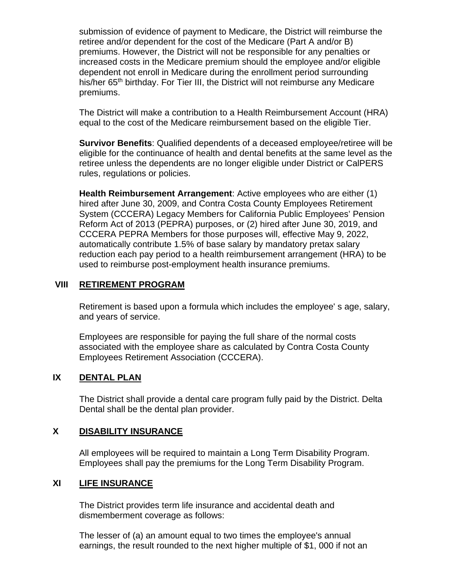submission of evidence of payment to Medicare, the District will reimburse the retiree and/or dependent for the cost of the Medicare (Part A and/or B) premiums. However, the District will not be responsible for any penalties or increased costs in the Medicare premium should the employee and/or eligible dependent not enroll in Medicare during the enrollment period surrounding his/her 65<sup>th</sup> birthday. For Tier III, the District will not reimburse any Medicare premiums.

The District will make a contribution to a Health Reimbursement Account (HRA) equal to the cost of the Medicare reimbursement based on the eligible Tier.

**Survivor Benefits**: Qualified dependents of a deceased employee/retiree will be eligible for the continuance of health and dental benefits at the same level as the retiree unless the dependents are no longer eligible under District or CalPERS rules, regulations or policies.

**Health Reimbursement Arrangement**: Active employees who are either (1) hired after June 30, 2009, and Contra Costa County Employees Retirement System (CCCERA) Legacy Members for California Public Employees' Pension Reform Act of 2013 (PEPRA) purposes, or (2) hired after June 30, 2019, and CCCERA PEPRA Members for those purposes will, effective May 9, 2022, automatically contribute 1.5% of base salary by mandatory pretax salary reduction each pay period to a health reimbursement arrangement (HRA) to be used to reimburse post-employment health insurance premiums.

# **VIII RETIREMENT PROGRAM**

Retirement is based upon a formula which includes the employee' s age, salary, and years of service.

Employees are responsible for paying the full share of the normal costs associated with the employee share as calculated by Contra Costa County Employees Retirement Association (CCCERA).

## **IX DENTAL PLAN**

The District shall provide a dental care program fully paid by the District. Delta Dental shall be the dental plan provider.

## **X DISABILITY INSURANCE**

All employees will be required to maintain a Long Term Disability Program. Employees shall pay the premiums for the Long Term Disability Program.

#### **XI LIFE INSURANCE**

The District provides term life insurance and accidental death and dismemberment coverage as follows:

The lesser of (a) an amount equal to two times the employee's annual earnings, the result rounded to the next higher multiple of \$1, 000 if not an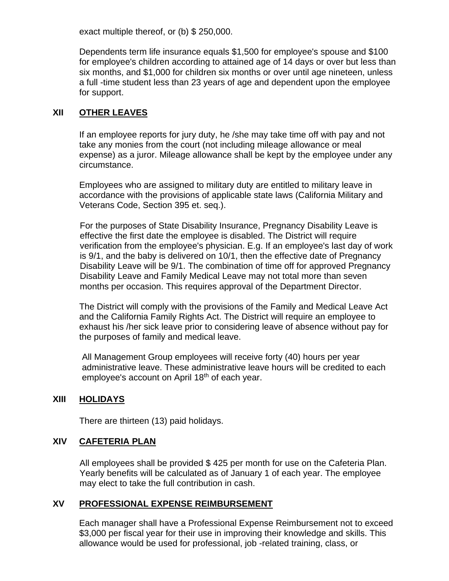exact multiple thereof, or (b) \$ 250,000.

Dependents term life insurance equals \$1,500 for employee's spouse and \$100 for employee's children according to attained age of 14 days or over but less than six months, and \$1,000 for children six months or over until age nineteen, unless a full -time student less than 23 years of age and dependent upon the employee for support.

# **XII OTHER LEAVES**

If an employee reports for jury duty, he /she may take time off with pay and not take any monies from the court (not including mileage allowance or meal expense) as a juror. Mileage allowance shall be kept by the employee under any circumstance.

Employees who are assigned to military duty are entitled to military leave in accordance with the provisions of applicable state laws (California Military and Veterans Code, Section 395 et. seq.).

For the purposes of State Disability Insurance, Pregnancy Disability Leave is effective the first date the employee is disabled. The District will require verification from the employee's physician. E.g. If an employee's last day of work is 9/1, and the baby is delivered on 10/1, then the effective date of Pregnancy Disability Leave will be 9/1. The combination of time off for approved Pregnancy Disability Leave and Family Medical Leave may not total more than seven months per occasion. This requires approval of the Department Director.

The District will comply with the provisions of the Family and Medical Leave Act and the California Family Rights Act. The District will require an employee to exhaust his /her sick leave prior to considering leave of absence without pay for the purposes of family and medical leave.

All Management Group employees will receive forty (40) hours per year administrative leave. These administrative leave hours will be credited to each employee's account on April 18<sup>th</sup> of each year.

# **XIII HOLIDAYS**

There are thirteen (13) paid holidays.

## **XIV CAFETERIA PLAN**

All employees shall be provided \$ 425 per month for use on the Cafeteria Plan. Yearly benefits will be calculated as of January 1 of each year. The employee may elect to take the full contribution in cash.

## **XV PROFESSIONAL EXPENSE REIMBURSEMENT**

Each manager shall have a Professional Expense Reimbursement not to exceed \$3,000 per fiscal year for their use in improving their knowledge and skills. This allowance would be used for professional, job -related training, class, or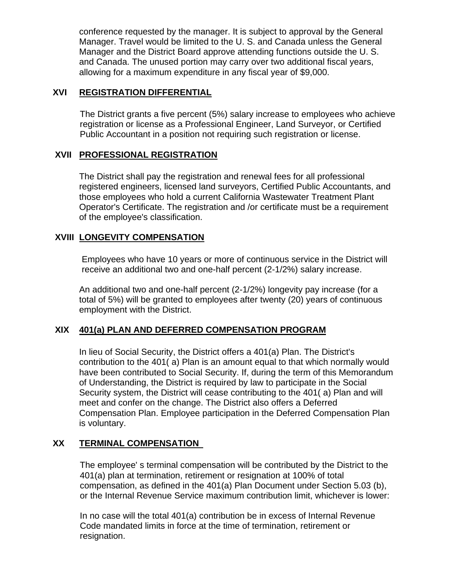conference requested by the manager. It is subject to approval by the General Manager. Travel would be limited to the U. S. and Canada unless the General Manager and the District Board approve attending functions outside the U. S. and Canada. The unused portion may carry over two additional fiscal years, allowing for a maximum expenditure in any fiscal year of \$9,000.

# **XVI REGISTRATION DIFFERENTIAL**

The District grants a five percent (5%) salary increase to employees who achieve registration or license as a Professional Engineer, Land Surveyor, or Certified Public Accountant in a position not requiring such registration or license.

## **XVII PROFESSIONAL REGISTRATION**

The District shall pay the registration and renewal fees for all professional registered engineers, licensed land surveyors, Certified Public Accountants, and those employees who hold a current California Wastewater Treatment Plant Operator's Certificate. The registration and /or certificate must be a requirement of the employee's classification.

# **XVIII LONGEVITY COMPENSATION**

Employees who have 10 years or more of continuous service in the District will receive an additional two and one-half percent (2-1/2%) salary increase.

An additional two and one-half percent (2-1/2%) longevity pay increase (for a total of 5%) will be granted to employees after twenty (20) years of continuous employment with the District.

# **XIX 401(a) PLAN AND DEFERRED COMPENSATION PROGRAM**

In lieu of Social Security, the District offers a 401(a) Plan. The District's contribution to the 401( a) Plan is an amount equal to that which normally would have been contributed to Social Security. If, during the term of this Memorandum of Understanding, the District is required by law to participate in the Social Security system, the District will cease contributing to the 401( a) Plan and will meet and confer on the change. The District also offers a Deferred Compensation Plan. Employee participation in the Deferred Compensation Plan is voluntary.

# **XX TERMINAL COMPENSATION**

The employee' s terminal compensation will be contributed by the District to the 401(a) plan at termination, retirement or resignation at 100% of total compensation, as defined in the 401(a) Plan Document under Section 5.03 (b), or the Internal Revenue Service maximum contribution limit, whichever is lower:

In no case will the total 401(a) contribution be in excess of Internal Revenue Code mandated limits in force at the time of termination, retirement or resignation.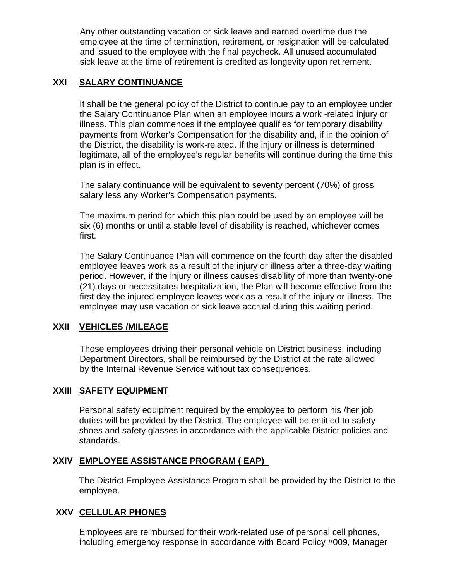Any other outstanding vacation or sick leave and earned overtime due the employee at the time of termination, retirement, or resignation will be calculated and issued to the employee with the final paycheck. All unused accumulated sick leave at the time of retirement is credited as longevity upon retirement.

# **XXI SALARY CONTINUANCE**

It shall be the general policy of the District to continue pay to an employee under the Salary Continuance Plan when an employee incurs a work -related injury or illness. This plan commences if the employee qualifies for temporary disability payments from Worker's Compensation for the disability and, if in the opinion of the District, the disability is work-related. If the injury or illness is determined legitimate, all of the employee's regular benefits will continue during the time this plan is in effect.

The salary continuance will be equivalent to seventy percent (70%) of gross salary less any Worker's Compensation payments.

The maximum period for which this plan could be used by an employee will be six (6) months or until a stable level of disability is reached, whichever comes first.

The Salary Continuance Plan will commence on the fourth day after the disabled employee leaves work as a result of the injury or illness after a three-day waiting period. However, if the injury or illness causes disability of more than twenty-one (21) days or necessitates hospitalization, the Plan will become effective from the first day the injured employee leaves work as a result of the injury or illness. The employee may use vacation or sick leave accrual during this waiting period.

## **XXII VEHICLES /MILEAGE**

Those employees driving their personal vehicle on District business, including Department Directors, shall be reimbursed by the District at the rate allowed by the Internal Revenue Service without tax consequences.

## **XXIII SAFETY EQUIPMENT**

Personal safety equipment required by the employee to perform his /her job duties will be provided by the District. The employee will be entitled to safety shoes and safety glasses in accordance with the applicable District policies and standards.

## **XXIV EMPLOYEE ASSISTANCE PROGRAM ( EAP)**

The District Employee Assistance Program shall be provided by the District to the employee.

## **XXV CELLULAR PHONES**

Employees are reimbursed for their work-related use of personal cell phones, including emergency response in accordance with Board Policy #009, Manager